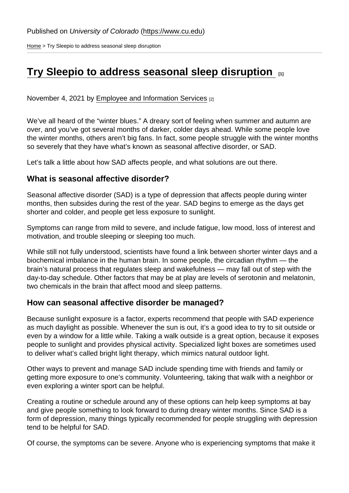[Home](https://www.cu.edu/) > Try Sleepio to address seasonal sleep disruption

## [Try Sleepio to address seasonal sleep disruption](https://www.cu.edu/blog/work-life/try-sleepio-address-seasonal-sleep-disruption)  $\Box$

November 4, 2021 by [Employee and Information Services](https://www.cu.edu/blog/work-life/author/23) [2]

We've all heard of the "winter blues." A dreary sort of feeling when summer and autumn are over, and you've got several months of darker, colder days ahead. While some people love the winter months, others aren't big fans. In fact, some people struggle with the winter months so severely that they have what's known as seasonal affective disorder, or SAD.

Let's talk a little about how SAD affects people, and what solutions are out there.

## What is seasonal affective disorder?

Seasonal affective disorder (SAD) is a type of depression that affects people during winter months, then subsides during the rest of the year. SAD begins to emerge as the days get shorter and colder, and people get less exposure to sunlight.

Symptoms can range from mild to severe, and include fatigue, low mood, loss of interest and motivation, and trouble sleeping or sleeping too much.

While still not fully understood, scientists have found a link between shorter winter days and a biochemical imbalance in the human brain. In some people, the circadian rhythm — the brain's natural process that regulates sleep and wakefulness — may fall out of step with the day-to-day schedule. Other factors that may be at play are levels of serotonin and melatonin, two chemicals in the brain that affect mood and sleep patterns.

## How can seasonal affective disorder be managed?

Because sunlight exposure is a factor, experts recommend that people with SAD experience as much daylight as possible. Whenever the sun is out, it's a good idea to try to sit outside or even by a window for a little while. Taking a walk outside is a great option, because it exposes people to sunlight and provides physical activity. Specialized light boxes are sometimes used to deliver what's called bright light therapy, which mimics natural outdoor light.

Other ways to prevent and manage SAD include spending time with friends and family or getting more exposure to one's community. Volunteering, taking that walk with a neighbor or even exploring a winter sport can be helpful.

Creating a routine or schedule around any of these options can help keep symptoms at bay and give people something to look forward to during dreary winter months. Since SAD is a form of depression, many things typically recommended for people struggling with depression tend to be helpful for SAD.

Of course, the symptoms can be severe. Anyone who is experiencing symptoms that make it